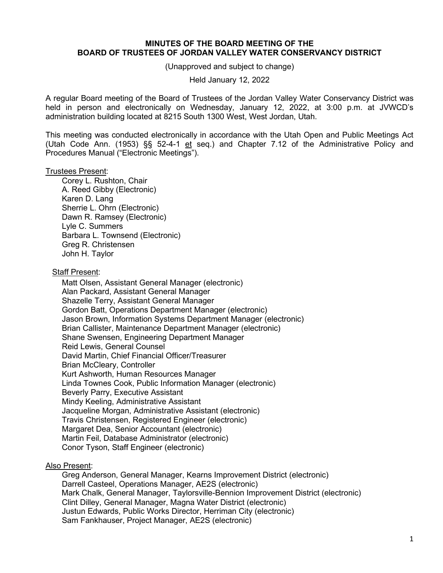## **MINUTES OF THE BOARD MEETING OF THE BOARD OF TRUSTEES OF JORDAN VALLEY WATER CONSERVANCY DISTRICT**

(Unapproved and subject to change)

Held January 12, 2022

A regular Board meeting of the Board of Trustees of the Jordan Valley Water Conservancy District was held in person and electronically on Wednesday, January 12, 2022, at 3:00 p.m. at JVWCD's administration building located at 8215 South 1300 West, West Jordan, Utah.

This meeting was conducted electronically in accordance with the Utah Open and Public Meetings Act (Utah Code Ann. (1953) §§ 52-4-1 et seq.) and Chapter 7.12 of the Administrative Policy and Procedures Manual ("Electronic Meetings").

### Trustees Present:

Corey L. Rushton, Chair A. Reed Gibby (Electronic) Karen D. Lang Sherrie L. Ohrn (Electronic) Dawn R. Ramsey (Electronic) Lyle C. Summers Barbara L. Townsend (Electronic) Greg R. Christensen John H. Taylor

### Staff Present:

Matt Olsen, Assistant General Manager (electronic) Alan Packard, Assistant General Manager Shazelle Terry, Assistant General Manager Gordon Batt, Operations Department Manager (electronic) Jason Brown, Information Systems Department Manager (electronic) Brian Callister, Maintenance Department Manager (electronic) Shane Swensen, Engineering Department Manager Reid Lewis, General Counsel David Martin, Chief Financial Officer/Treasurer Brian McCleary, Controller Kurt Ashworth, Human Resources Manager Linda Townes Cook, Public Information Manager (electronic) Beverly Parry, Executive Assistant Mindy Keeling, Administrative Assistant Jacqueline Morgan, Administrative Assistant (electronic) Travis Christensen, Registered Engineer (electronic) Margaret Dea, Senior Accountant (electronic) Martin Feil, Database Administrator (electronic) Conor Tyson, Staff Engineer (electronic)

# Also Present:

Greg Anderson, General Manager, Kearns Improvement District (electronic) Darrell Casteel, Operations Manager, AE2S (electronic) Mark Chalk, General Manager, Taylorsville-Bennion Improvement District (electronic) Clint Dilley, General Manager, Magna Water District (electronic) Justun Edwards, Public Works Director, Herriman City (electronic) Sam Fankhauser, Project Manager, AE2S (electronic)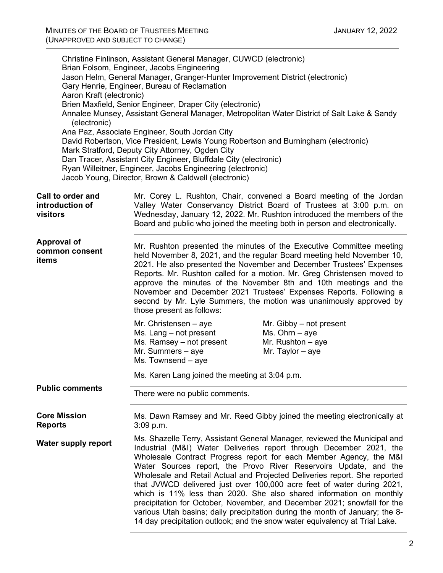| Aaron Kraft (electronic)<br>(electronic)         | Christine Finlinson, Assistant General Manager, CUWCD (electronic)<br>Brian Folsom, Engineer, Jacobs Engineering<br>Jason Helm, General Manager, Granger-Hunter Improvement District (electronic)<br>Gary Henrie, Engineer, Bureau of Reclamation<br>Brien Maxfield, Senior Engineer, Draper City (electronic)<br>Annalee Munsey, Assistant General Manager, Metropolitan Water District of Salt Lake & Sandy<br>Ana Paz, Associate Engineer, South Jordan City<br>David Robertson, Vice President, Lewis Young Robertson and Burningham (electronic)<br>Mark Stratford, Deputy City Attorney, Ogden City<br>Dan Tracer, Assistant City Engineer, Bluffdale City (electronic)<br>Ryan Willeitner, Engineer, Jacobs Engineering (electronic)<br>Jacob Young, Director, Brown & Caldwell (electronic) |  |
|--------------------------------------------------|-----------------------------------------------------------------------------------------------------------------------------------------------------------------------------------------------------------------------------------------------------------------------------------------------------------------------------------------------------------------------------------------------------------------------------------------------------------------------------------------------------------------------------------------------------------------------------------------------------------------------------------------------------------------------------------------------------------------------------------------------------------------------------------------------------|--|
| Call to order and<br>introduction of<br>visitors | Mr. Corey L. Rushton, Chair, convened a Board meeting of the Jordan<br>Valley Water Conservancy District Board of Trustees at 3:00 p.m. on<br>Wednesday, January 12, 2022. Mr. Rushton introduced the members of the<br>Board and public who joined the meeting both in person and electronically.                                                                                                                                                                                                                                                                                                                                                                                                                                                                                                  |  |
| <b>Approval of</b><br>common consent<br>items    | Mr. Rushton presented the minutes of the Executive Committee meeting<br>held November 8, 2021, and the regular Board meeting held November 10,<br>2021. He also presented the November and December Trustees' Expenses<br>Reports. Mr. Rushton called for a motion. Mr. Greg Christensen moved to<br>approve the minutes of the November 8th and 10th meetings and the<br>November and December 2021 Trustees' Expenses Reports. Following a<br>second by Mr. Lyle Summers, the motion was unanimously approved by<br>those present as follows:                                                                                                                                                                                                                                                     |  |
|                                                  | Mr. Christensen – aye<br>Mr. Gibby – not present<br>Ms. Lang - not present<br>$Ms. Ohrn - aye$<br>Ms. Ramsey - not present<br>Mr. Rushton $-$ aye<br>Mr. Summers - aye<br>Mr. Taylor $-$ aye<br>Ms. Townsend - aye                                                                                                                                                                                                                                                                                                                                                                                                                                                                                                                                                                                  |  |
| <b>Public comments</b>                           | Ms. Karen Lang joined the meeting at 3:04 p.m.                                                                                                                                                                                                                                                                                                                                                                                                                                                                                                                                                                                                                                                                                                                                                      |  |
|                                                  | There were no public comments.                                                                                                                                                                                                                                                                                                                                                                                                                                                                                                                                                                                                                                                                                                                                                                      |  |
| <b>Core Mission</b><br><b>Reports</b>            | Ms. Dawn Ramsey and Mr. Reed Gibby joined the meeting electronically at<br>$3:09$ p.m.                                                                                                                                                                                                                                                                                                                                                                                                                                                                                                                                                                                                                                                                                                              |  |
| <b>Water supply report</b>                       | Ms. Shazelle Terry, Assistant General Manager, reviewed the Municipal and<br>Industrial (M&I) Water Deliveries report through December 2021, the<br>Wholesale Contract Progress report for each Member Agency, the M&I<br>Water Sources report, the Provo River Reservoirs Update, and the<br>Wholesale and Retail Actual and Projected Deliveries report. She reported<br>that JVWCD delivered just over 100,000 acre feet of water during 2021,<br>which is 11% less than 2020. She also shared information on monthly<br>precipitation for October, November, and December 2021; snowfall for the<br>various Utah basins; daily precipitation during the month of January; the 8-<br>14 day precipitation outlook; and the snow water equivalency at Trial Lake.                                 |  |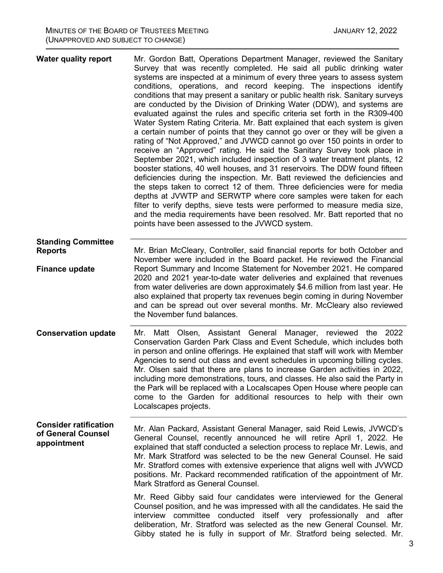| <b>Water quality report</b>                                       | Mr. Gordon Batt, Operations Department Manager, reviewed the Sanitary<br>Survey that was recently completed. He said all public drinking water<br>systems are inspected at a minimum of every three years to assess system<br>conditions, operations, and record keeping. The inspections identify<br>conditions that may present a sanitary or public health risk. Sanitary surveys<br>are conducted by the Division of Drinking Water (DDW), and systems are<br>evaluated against the rules and specific criteria set forth in the R309-400<br>Water System Rating Criteria. Mr. Batt explained that each system is given<br>a certain number of points that they cannot go over or they will be given a<br>rating of "Not Approved," and JVWCD cannot go over 150 points in order to<br>receive an "Approved" rating. He said the Sanitary Survey took place in<br>September 2021, which included inspection of 3 water treatment plants, 12<br>booster stations, 40 well houses, and 31 reservoirs. The DDW found fifteen<br>deficiencies during the inspection. Mr. Batt reviewed the deficiencies and<br>the steps taken to correct 12 of them. Three deficiencies were for media<br>depths at JVWTP and SERWTP where core samples were taken for each<br>filter to verify depths, sieve tests were performed to measure media size,<br>and the media requirements have been resolved. Mr. Batt reported that no<br>points have been assessed to the JVWCD system. |
|-------------------------------------------------------------------|--------------------------------------------------------------------------------------------------------------------------------------------------------------------------------------------------------------------------------------------------------------------------------------------------------------------------------------------------------------------------------------------------------------------------------------------------------------------------------------------------------------------------------------------------------------------------------------------------------------------------------------------------------------------------------------------------------------------------------------------------------------------------------------------------------------------------------------------------------------------------------------------------------------------------------------------------------------------------------------------------------------------------------------------------------------------------------------------------------------------------------------------------------------------------------------------------------------------------------------------------------------------------------------------------------------------------------------------------------------------------------------------------------------------------------------------------------------------------|
| <b>Standing Committee</b><br><b>Reports</b>                       | Mr. Brian McCleary, Controller, said financial reports for both October and<br>November were included in the Board packet. He reviewed the Financial                                                                                                                                                                                                                                                                                                                                                                                                                                                                                                                                                                                                                                                                                                                                                                                                                                                                                                                                                                                                                                                                                                                                                                                                                                                                                                                     |
| <b>Finance update</b>                                             | Report Summary and Income Statement for November 2021. He compared<br>2020 and 2021 year-to-date water deliveries and explained that revenues<br>from water deliveries are down approximately \$4.6 million from last year. He<br>also explained that property tax revenues begin coming in during November<br>and can be spread out over several months. Mr. McCleary also reviewed<br>the November fund balances.                                                                                                                                                                                                                                                                                                                                                                                                                                                                                                                                                                                                                                                                                                                                                                                                                                                                                                                                                                                                                                                      |
| <b>Conservation update</b>                                        | Matt Olsen, Assistant General Manager, reviewed the<br>Mr.<br>2022<br>Conservation Garden Park Class and Event Schedule, which includes both<br>in person and online offerings. He explained that staff will work with Member<br>Agencies to send out class and event schedules in upcoming billing cycles.<br>Mr. Olsen said that there are plans to increase Garden activities in 2022,<br>including more demonstrations, tours, and classes. He also said the Party in<br>the Park will be replaced with a Localscapes Open House where people can<br>come to the Garden for additional resources to help with their own<br>Localscapes projects.                                                                                                                                                                                                                                                                                                                                                                                                                                                                                                                                                                                                                                                                                                                                                                                                                     |
| <b>Consider ratification</b><br>of General Counsel<br>appointment | Mr. Alan Packard, Assistant General Manager, said Reid Lewis, JVWCD's<br>General Counsel, recently announced he will retire April 1, 2022. He<br>explained that staff conducted a selection process to replace Mr. Lewis, and<br>Mr. Mark Stratford was selected to be the new General Counsel. He said<br>Mr. Stratford comes with extensive experience that aligns well with JVWCD<br>positions. Mr. Packard recommended ratification of the appointment of Mr.<br>Mark Stratford as General Counsel.                                                                                                                                                                                                                                                                                                                                                                                                                                                                                                                                                                                                                                                                                                                                                                                                                                                                                                                                                                  |
|                                                                   | Mr. Reed Gibby said four candidates were interviewed for the General<br>Counsel position, and he was impressed with all the candidates. He said the<br>interview committee conducted itself very professionally and after<br>deliberation, Mr. Stratford was selected as the new General Counsel. Mr.<br>Gibby stated he is fully in support of Mr. Stratford being selected. Mr.                                                                                                                                                                                                                                                                                                                                                                                                                                                                                                                                                                                                                                                                                                                                                                                                                                                                                                                                                                                                                                                                                        |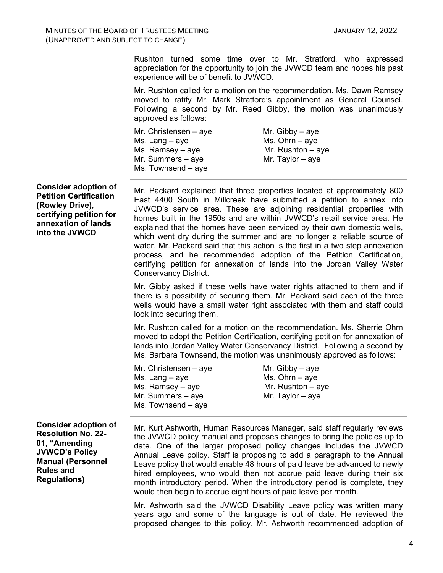Rushton turned some time over to Mr. Stratford, who expressed appreciation for the opportunity to join the JVWCD team and hopes his past experience will be of benefit to JVWCD.

Mr. Rushton called for a motion on the recommendation. Ms. Dawn Ramsey moved to ratify Mr. Mark Stratford's appointment as General Counsel. Following a second by Mr. Reed Gibby, the motion was unanimously approved as follows:

| Mr. Christensen – aye | Mr. Gibby $-$ aye   |
|-----------------------|---------------------|
| Ms. Lang – aye        | Ms. Ohrn $-$ aye    |
| Ms. Ramsey – aye      | Mr. Rushton $-$ aye |
| Mr. Summers – aye     | Mr. Taylor $-$ aye  |
| Ms. Townsend - aye    |                     |
|                       |                     |

**Consider adoption of Petition Certification (Rowley Drive), certifying petition for annexation of lands into the JVWCD**

Mr. Packard explained that three properties located at approximately 800 East 4400 South in Millcreek have submitted a petition to annex into JVWCD's service area. These are adjoining residential properties with homes built in the 1950s and are within JVWCD's retail service area. He explained that the homes have been serviced by their own domestic wells, which went dry during the summer and are no longer a reliable source of water. Mr. Packard said that this action is the first in a two step annexation process, and he recommended adoption of the Petition Certification, certifying petition for annexation of lands into the Jordan Valley Water Conservancy District.

Mr. Gibby asked if these wells have water rights attached to them and if there is a possibility of securing them. Mr. Packard said each of the three wells would have a small water right associated with them and staff could look into securing them.

Mr. Rushton called for a motion on the recommendation. Ms. Sherrie Ohrn moved to adopt the Petition Certification, certifying petition for annexation of lands into Jordan Valley Water Conservancy District. Following a second by Ms. Barbara Townsend, the motion was unanimously approved as follows:

| Mr. Gibby $-$ aye   |
|---------------------|
| Ms. Ohrn $-$ aye    |
| Mr. Rushton $-$ aye |
| Mr. Taylor $-$ aye  |
|                     |
|                     |

**Consider adoption of Resolution No. 22- 01, "Amending JVWCD's Policy Manual (Personnel Rules and Regulations)**

Mr. Kurt Ashworth, Human Resources Manager, said staff regularly reviews the JVWCD policy manual and proposes changes to bring the policies up to date. One of the larger proposed policy changes includes the JVWCD Annual Leave policy. Staff is proposing to add a paragraph to the Annual Leave policy that would enable 48 hours of paid leave be advanced to newly hired employees, who would then not accrue paid leave during their six month introductory period. When the introductory period is complete, they would then begin to accrue eight hours of paid leave per month.

Mr. Ashworth said the JVWCD Disability Leave policy was written many years ago and some of the language is out of date. He reviewed the proposed changes to this policy. Mr. Ashworth recommended adoption of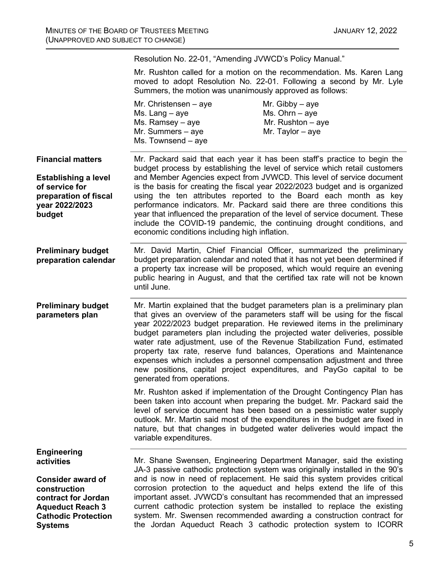**Financial matters Establishing a level of service for preparation of fiscal year 2022/2023 budget Preliminary budget preparation calendar Preliminary budget parameters plan Engineering activities Consider award of construction contract for Jordan Aqueduct Reach 3 Cathodic Protection Systems** Resolution No. 22-01, "Amending JVWCD's Policy Manual." Mr. Rushton called for a motion on the recommendation. Ms. Karen Lang moved to adopt Resolution No. 22-01. Following a second by Mr. Lyle Summers, the motion was unanimously approved as follows: Mr. Christensen – aye  $Mr.$  Gibby – aye  $Ms.$  Lang – aye  $MS.$  Ohrn – aye Ms. Ramsey – aye Mr. Rushton – aye Mr. Summers – aye Ms. Townsend – aye Mr. Packard said that each year it has been staff's practice to begin the budget process by establishing the level of service which retail customers and Member Agencies expect from JVWCD. This level of service document is the basis for creating the fiscal year 2022/2023 budget and is organized using the ten attributes reported to the Board each month as key performance indicators. Mr. Packard said there are three conditions this year that influenced the preparation of the level of service document. These include the COVID-19 pandemic, the continuing drought conditions, and economic conditions including high inflation. Mr. David Martin, Chief Financial Officer, summarized the preliminary budget preparation calendar and noted that it has not yet been determined if a property tax increase will be proposed, which would require an evening public hearing in August, and that the certified tax rate will not be known until June. Mr. Martin explained that the budget parameters plan is a preliminary plan that gives an overview of the parameters staff will be using for the fiscal year 2022/2023 budget preparation. He reviewed items in the preliminary budget parameters plan including the projected water deliveries, possible water rate adjustment, use of the Revenue Stabilization Fund, estimated property tax rate, reserve fund balances, Operations and Maintenance expenses which includes a personnel compensation adjustment and three new positions, capital project expenditures, and PayGo capital to be generated from operations. Mr. Rushton asked if implementation of the Drought Contingency Plan has been taken into account when preparing the budget. Mr. Packard said the level of service document has been based on a pessimistic water supply outlook. Mr. Martin said most of the expenditures in the budget are fixed in nature, but that changes in budgeted water deliveries would impact the variable expenditures. Mr. Shane Swensen, Engineering Department Manager, said the existing JA-3 passive cathodic protection system was originally installed in the 90's and is now in need of replacement. He said this system provides critical corrosion protection to the aqueduct and helps extend the life of this important asset. JVWCD's consultant has recommended that an impressed current cathodic protection system be installed to replace the existing system. Mr. Swensen recommended awarding a construction contract for the Jordan Aqueduct Reach 3 cathodic protection system to ICORR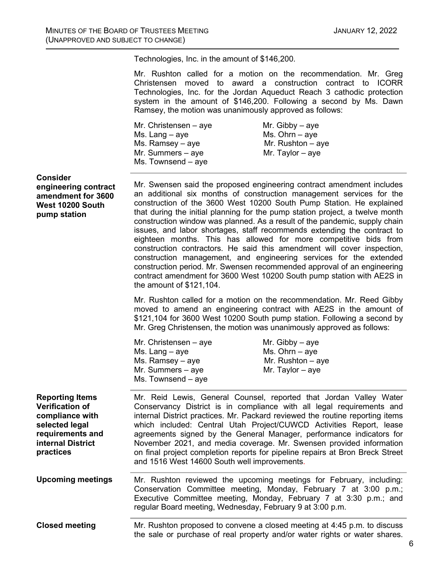Technologies, Inc. in the amount of \$146,200.

Mr. Rushton called for a motion on the recommendation. Mr. Greg Christensen moved to award a construction contract to ICORR Technologies, Inc. for the Jordan Aqueduct Reach 3 cathodic protection system in the amount of \$146,200. Following a second by Ms. Dawn Ramsey, the motion was unanimously approved as follows:

| Mr. Gibby $-$ aye   |
|---------------------|
| Ms. Ohrn $-$ aye    |
| Mr. Rushton $-$ aye |
| Mr. Taylor $-$ aye  |
|                     |
|                     |

### **Consider engineering contract**

**amendment for 3600 West 10200 South pump station**

Mr. Swensen said the proposed engineering contract amendment includes an additional six months of construction management services for the construction of the 3600 West 10200 South Pump Station. He explained that during the initial planning for the pump station project, a twelve month construction window was planned. As a result of the pandemic, supply chain issues, and labor shortages, staff recommends extending the contract to eighteen months. This has allowed for more competitive bids from construction contractors. He said this amendment will cover inspection, construction management, and engineering services for the extended construction period. Mr. Swensen recommended approval of an engineering contract amendment for 3600 West 10200 South pump station with AE2S in the amount of \$121,104.

Mr. Rushton called for a motion on the recommendation. Mr. Reed Gibby moved to amend an engineering contract with AE2S in the amount of \$121,104 for 3600 West 10200 South pump station. Following a second by Mr. Greg Christensen, the motion was unanimously approved as follows:

| Mr. Gibby $-$ aye   |
|---------------------|
| $Ms. Ohrn - aye$    |
| Mr. Rushton $-$ aye |
| Mr. Taylor $-$ aye  |
|                     |
|                     |

**Reporting Items Verification of compliance with selected legal requirements and internal District practices** Mr. Reid Lewis, General Counsel, reported that Jordan Valley Water Conservancy District is in compliance with all legal requirements and internal District practices. Mr. Packard reviewed the routine reporting items which included: Central Utah Project/CUWCD Activities Report, lease agreements signed by the General Manager, performance indicators for November 2021, and media coverage. Mr. Swensen provided information on final project completion reports for pipeline repairs at Bron Breck Street and 1516 West 14600 South well improvements.

**Upcoming meetings** Mr. Rushton reviewed the upcoming meetings for February, including: Conservation Committee meeting, Monday, February 7 at 3:00 p.m.; Executive Committee meeting, Monday, February 7 at 3:30 p.m.; and regular Board meeting, Wednesday, February 9 at 3:00 p.m.

**Closed meeting** Mr. Rushton proposed to convene a closed meeting at 4:45 p.m. to discuss the sale or purchase of real property and/or water rights or water shares.